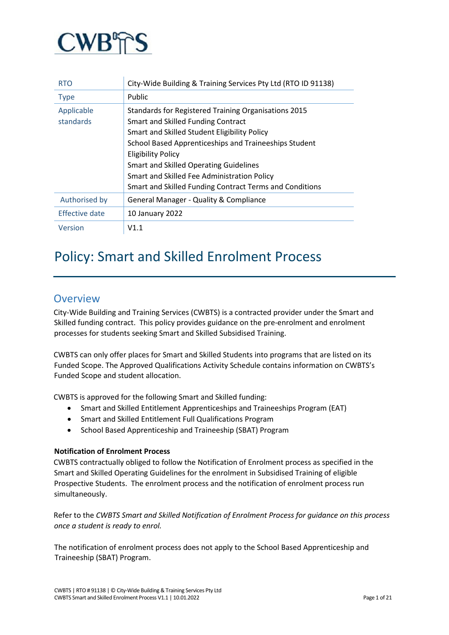

| <b>RTO</b>                                            | City-Wide Building & Training Services Pty Ltd (RTO ID 91138) |  |
|-------------------------------------------------------|---------------------------------------------------------------|--|
| <b>Type</b>                                           | <b>Public</b>                                                 |  |
| Applicable                                            | Standards for Registered Training Organisations 2015          |  |
| standards                                             | Smart and Skilled Funding Contract                            |  |
|                                                       | Smart and Skilled Student Eligibility Policy                  |  |
| School Based Apprenticeships and Traineeships Student |                                                               |  |
|                                                       | <b>Eligibility Policy</b>                                     |  |
|                                                       | Smart and Skilled Operating Guidelines                        |  |
|                                                       | Smart and Skilled Fee Administration Policy                   |  |
|                                                       | Smart and Skilled Funding Contract Terms and Conditions       |  |
| Authorised by                                         | General Manager - Quality & Compliance                        |  |
| Effective date                                        | <b>10 January 2022</b>                                        |  |
| Version                                               | V1.1                                                          |  |

# Policy: Smart and Skilled Enrolment Process

# **Overview**

City-Wide Building and Training Services (CWBTS) is a contracted provider under the Smart and Skilled funding contract. This policy provides guidance on the pre-enrolment and enrolment processes for students seeking Smart and Skilled Subsidised Training.

CWBTS can only offer places for Smart and Skilled Students into programs that are listed on its Funded Scope. The Approved Qualifications Activity Schedule contains information on CWBTS's Funded Scope and student allocation.

CWBTS is approved for the following Smart and Skilled funding:

- Smart and Skilled Entitlement Apprenticeships and Traineeships Program (EAT)
- Smart and Skilled Entitlement Full Qualifications Program
- School Based Apprenticeship and Traineeship (SBAT) Program

# **Notification of Enrolment Process**

CWBTS contractually obliged to follow the Notification of Enrolment process as specified in the Smart and Skilled Operating Guidelines for the enrolment in Subsidised Training of eligible Prospective Students. The enrolment process and the notification of enrolment process run simultaneously.

Refer to the *CWBTS Smart and Skilled Notification of Enrolment Process for guidance on this process once a student is ready to enrol.*

The notification of enrolment process does not apply to the School Based Apprenticeship and Traineeship (SBAT) Program.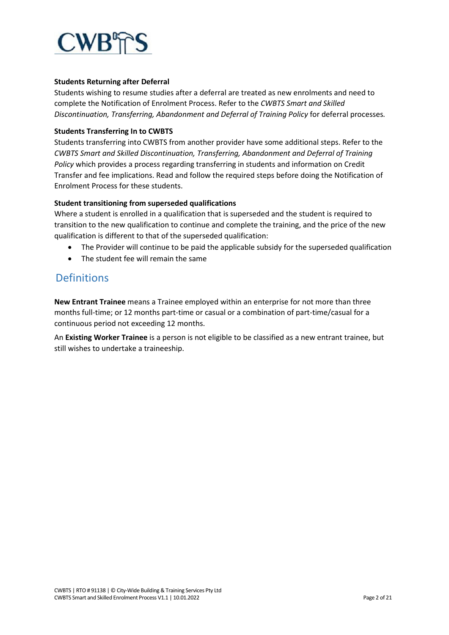

## **Students Returning after Deferral**

Students wishing to resume studies after a deferral are treated as new enrolments and need to complete the Notification of Enrolment Process. Refer to the *CWBTS Smart and Skilled Discontinuation, Transferring, Abandonment and Deferral of Training Policy* for deferral processes*.*

## **Students Transferring In to CWBTS**

Students transferring into CWBTS from another provider have some additional steps. Refer to the *CWBTS Smart and Skilled Discontinuation, Transferring, Abandonment and Deferral of Training Policy* which provides a process regarding transferring in students and information on Credit Transfer and fee implications. Read and follow the required steps before doing the Notification of Enrolment Process for these students.

#### **Student transitioning from superseded qualifications**

Where a student is enrolled in a qualification that is superseded and the student is required to transition to the new qualification to continue and complete the training, and the price of the new qualification is different to that of the superseded qualification:

- The Provider will continue to be paid the applicable subsidy for the superseded qualification
- The student fee will remain the same

# **Definitions**

**New Entrant Trainee** means a Trainee employed within an enterprise for not more than three months full-time; or 12 months part-time or casual or a combination of part-time/casual for a continuous period not exceeding 12 months.

An **Existing Worker Trainee** is a person is not eligible to be classified as a new entrant trainee, but still wishes to undertake a traineeship.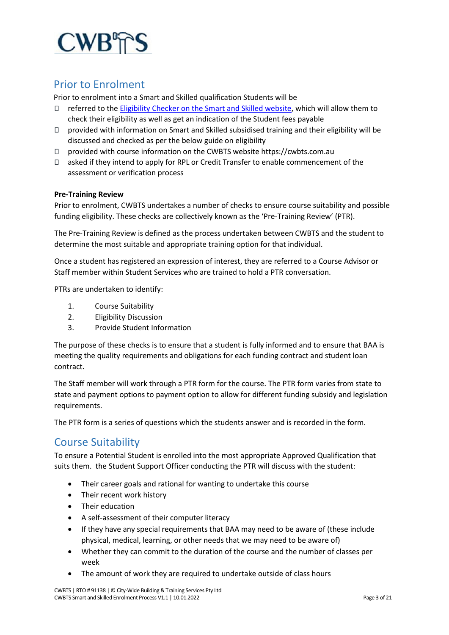

# Prior to Enrolment

Prior to enrolment into a Smart and Skilled qualification Students will be

- $\Box$  referred to the [Eligibility Checker on the Smart and Skilled website,](https://smartandskilled.nsw.gov.au/are-you-eligible) which will allow them to check their eligibility as well as get an indication of the Student fees payable
- $\Box$  provided with information on Smart and Skilled subsidised training and their eligibility will be discussed and checked as per the below guide on eligibility
- □ provided with course information on the CWBTS website https://cwbts.com.au
- $\Box$  asked if they intend to apply for RPL or Credit Transfer to enable commencement of the assessment or verification process

#### **Pre-Training Review**

Prior to enrolment, CWBTS undertakes a number of checks to ensure course suitability and possible funding eligibility. These checks are collectively known as the 'Pre-Training Review' (PTR).

The Pre-Training Review is defined as the process undertaken between CWBTS and the student to determine the most suitable and appropriate training option for that individual.

Once a student has registered an expression of interest, they are referred to a Course Advisor or Staff member within Student Services who are trained to hold a PTR conversation.

PTRs are undertaken to identify:

- 1. Course Suitability
- 2. Eligibility Discussion
- 3. Provide Student Information

The purpose of these checks is to ensure that a student is fully informed and to ensure that BAA is meeting the quality requirements and obligations for each funding contract and student loan contract.

The Staff member will work through a PTR form for the course. The PTR form varies from state to state and payment options to payment option to allow for different funding subsidy and legislation requirements.

The PTR form is a series of questions which the students answer and is recorded in the form.

# Course Suitability

To ensure a Potential Student is enrolled into the most appropriate Approved Qualification that suits them. the Student Support Officer conducting the PTR will discuss with the student:

- Their career goals and rational for wanting to undertake this course
- Their recent work history
- Their education
- A self-assessment of their computer literacy
- If they have any special requirements that BAA may need to be aware of (these include physical, medical, learning, or other needs that we may need to be aware of)
- Whether they can commit to the duration of the course and the number of classes per week
- The amount of work they are required to undertake outside of class hours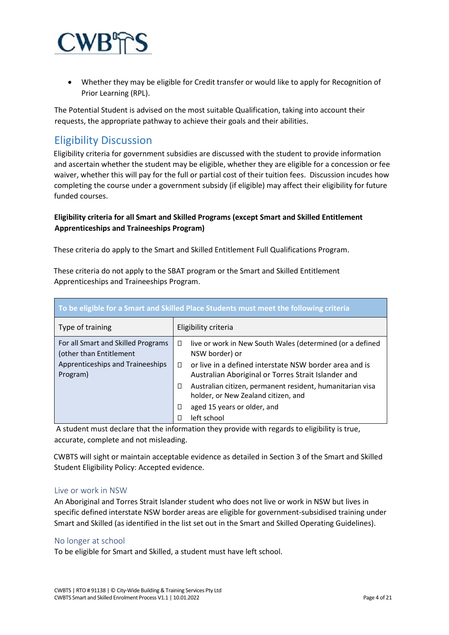

• Whether they may be eligible for Credit transfer or would like to apply for Recognition of Prior Learning (RPL).

The Potential Student is advised on the most suitable Qualification, taking into account their requests, the appropriate pathway to achieve their goals and their abilities.

# Eligibility Discussion

Eligibility criteria for government subsidies are discussed with the student to provide information and ascertain whether the student may be eligible, whether they are eligible for a concession or fee waiver, whether this will pay for the full or partial cost of their tuition fees. Discussion incudes how completing the course under a government subsidy (if eligible) may affect their eligibility for future funded courses.

# **Eligibility criteria for all Smart and Skilled Programs (except Smart and Skilled Entitlement Apprenticeships and Traineeships Program)**

These criteria do apply to the Smart and Skilled Entitlement Full Qualifications Program.

These criteria do not apply to the SBAT program or the Smart and Skilled Entitlement Apprenticeships and Traineeships Program.

| To be eligible for a Smart and Skilled Place Students must meet the following criteria                                                                 |                                                                                                                    |  |  |
|--------------------------------------------------------------------------------------------------------------------------------------------------------|--------------------------------------------------------------------------------------------------------------------|--|--|
| Type of training                                                                                                                                       | Eligibility criteria                                                                                               |  |  |
| For all Smart and Skilled Programs<br>live or work in New South Wales (determined (or a defined<br>$\Box$<br>(other than Entitlement<br>NSW border) or |                                                                                                                    |  |  |
| Apprenticeships and Traineeships<br>Program)                                                                                                           | or live in a defined interstate NSW border area and is<br>П<br>Australian Aboriginal or Torres Strait Islander and |  |  |
|                                                                                                                                                        | Australian citizen, permanent resident, humanitarian visa<br>O<br>holder, or New Zealand citizen, and              |  |  |
|                                                                                                                                                        | aged 15 years or older, and<br>□                                                                                   |  |  |
|                                                                                                                                                        | left school<br>П                                                                                                   |  |  |

A student must declare that the information they provide with regards to eligibility is true, accurate, complete and not misleading.

CWBTS will sight or maintain acceptable evidence as detailed in Section 3 of the Smart and Skilled Student Eligibility Policy: Accepted evidence.

# Live or work in NSW

An Aboriginal and Torres Strait Islander student who does not live or work in NSW but lives in specific defined interstate NSW border areas are eligible for government-subsidised training under Smart and Skilled (as identified in the list set out in the Smart and Skilled Operating Guidelines).

# No longer at school

To be eligible for Smart and Skilled, a student must have left school.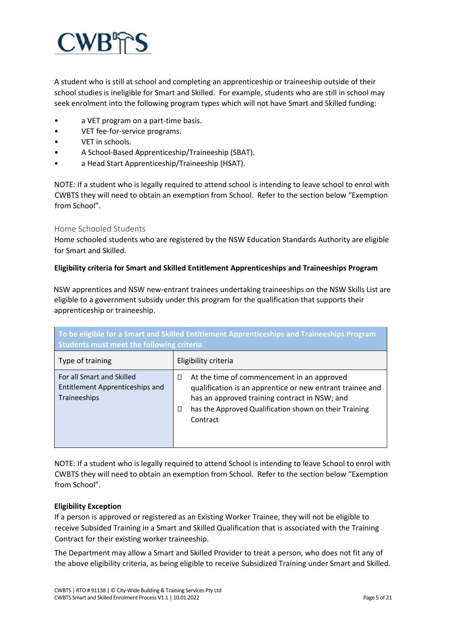

A student who is still at school and completing an apprenticeship or traineeship outside of their school studies is ineligible for Smart and Skilled. For example, students who are still in school may seek enrolment into the following program types which will not have Smart and Skilled funding:

- a VET program on a part-time basis.
- VET fee-for-service programs.
- VET in schools.
- A School-Based Apprenticeship/Traineeship (SBAT).
- a Head Start Apprenticeship/Traineeship (HSAT).

NOTE: If a student who is legally required to attend school is intending to leave school to enrol with CWBTS they will need to obtain an exemption from School. Refer to the section below "Exemption from School".

# Home Schooled Students

Home schooled students who are registered by the NSW Education Standards Authority are eligible for Smart and Skilled.

# **Eligibility criteria for Smart and Skilled Entitlement Apprenticeships and Traineeships Program**

NSW apprentices and NSW new-entrant trainees undertaking traineeships on the NSW Skills List are eligible to a government subsidy under this program for the qualification that supports their apprenticeship or traineeship.

| To be eligible for a Smart and Skilled Entitlement Apprenticeships and Traineeships Program<br>Students must meet the following criteria |                                                                                                                                                                                                                                          |  |  |
|------------------------------------------------------------------------------------------------------------------------------------------|------------------------------------------------------------------------------------------------------------------------------------------------------------------------------------------------------------------------------------------|--|--|
| Type of training                                                                                                                         | Eligibility criteria                                                                                                                                                                                                                     |  |  |
| For all Smart and Skilled<br><b>Entitlement Apprenticeships and</b><br>Traineeships                                                      | At the time of commencement in an approved<br>□<br>qualification is an apprentice or new entrant trainee and<br>has an approved training contract in NSW; and<br>has the Approved Qualification shown on their Training<br>□<br>Contract |  |  |

NOTE: If a student who is legally required to attend School is intending to leave School to enrol with CWBTS they will need to obtain an exemption from School. Refer to the section below "Exemption from School".

# **Eligibility Exception**

If a person is approved or registered as an Existing Worker Trainee, they will not be eligible to receive Subsided Training in a Smart and Skilled Qualification that is associated with the Training Contract for their existing worker traineeship.

The Department may allow a Smart and Skilled Provider to treat a person, who does not fit any of the above eligibility criteria, as being eligible to receive Subsidized Training under Smart and Skilled.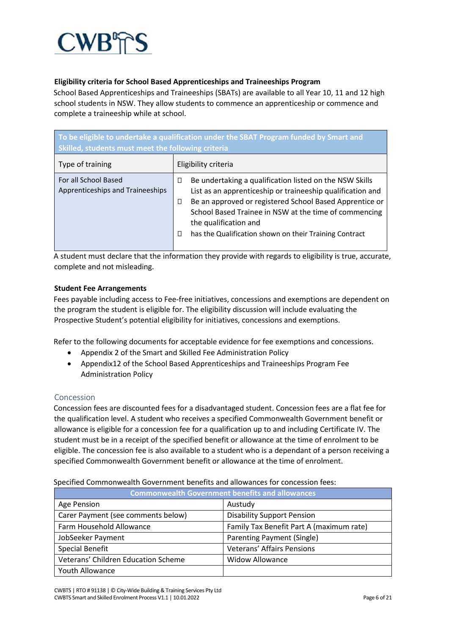

# **Eligibility criteria for School Based Apprenticeships and Traineeships Program**

School Based Apprenticeships and Traineeships (SBATs) are available to all Year 10, 11 and 12 high school students in NSW. They allow students to commence an apprenticeship or commence and complete a traineeship while at school.

| To be eligible to undertake a qualification under the SBAT Program funded by Smart and<br>Skilled, students must meet the following criteria |                                                                                                                                                                                                                                                                                                                                             |  |  |
|----------------------------------------------------------------------------------------------------------------------------------------------|---------------------------------------------------------------------------------------------------------------------------------------------------------------------------------------------------------------------------------------------------------------------------------------------------------------------------------------------|--|--|
| Type of training                                                                                                                             | Eligibility criteria                                                                                                                                                                                                                                                                                                                        |  |  |
| For all School Based<br>Apprenticeships and Traineeships                                                                                     | Be undertaking a qualification listed on the NSW Skills<br>□<br>List as an apprenticeship or traineeship qualification and<br>Be an approved or registered School Based Apprentice or<br>П<br>School Based Trainee in NSW at the time of commencing<br>the qualification and<br>has the Qualification shown on their Training Contract<br>П |  |  |

A student must declare that the information they provide with regards to eligibility is true, accurate, complete and not misleading.

# **Student Fee Arrangements**

Fees payable including access to Fee-free initiatives, concessions and exemptions are dependent on the program the student is eligible for. The eligibility discussion will include evaluating the Prospective Student's potential eligibility for initiatives, concessions and exemptions.

Refer to the following documents for acceptable evidence for fee exemptions and concessions.

- Appendix 2 of the Smart and Skilled Fee Administration Policy
- Appendix12 of the School Based Apprenticeships and Traineeships Program Fee Administration Policy

# Concession

Concession fees are discounted fees for a disadvantaged student. Concession fees are a flat fee for the qualification level. A student who receives a specified Commonwealth Government benefit or allowance is eligible for a concession fee for a qualification up to and including Certificate IV. The student must be in a receipt of the specified benefit or allowance at the time of enrolment to be eligible. The concession fee is also available to a student who is a dependant of a person receiving a specified Commonwealth Government benefit or allowance at the time of enrolment.

Specified Commonwealth Government benefits and allowances for concession fees:

| <b>Commonwealth Government benefits and allowances</b> |                                          |  |  |
|--------------------------------------------------------|------------------------------------------|--|--|
| Age Pension                                            | Austudy                                  |  |  |
| Carer Payment (see comments below)                     | <b>Disability Support Pension</b>        |  |  |
| Farm Household Allowance                               | Family Tax Benefit Part A (maximum rate) |  |  |
| JobSeeker Payment                                      | Parenting Payment (Single)               |  |  |
| <b>Special Benefit</b>                                 | <b>Veterans' Affairs Pensions</b>        |  |  |
| Veterans' Children Education Scheme                    | <b>Widow Allowance</b>                   |  |  |
| Youth Allowance                                        |                                          |  |  |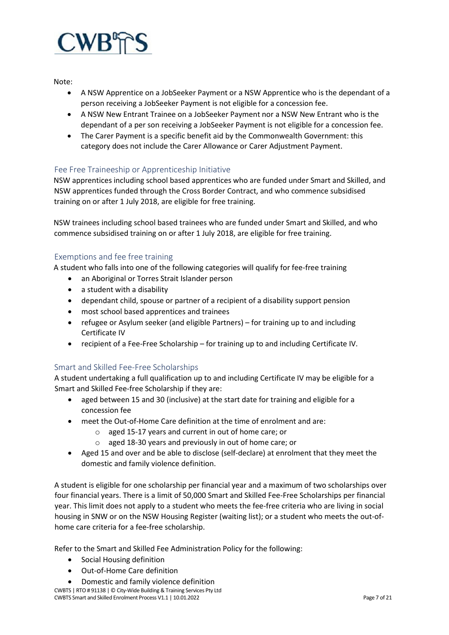

Note:

- A NSW Apprentice on a JobSeeker Payment or a NSW Apprentice who is the dependant of a person receiving a JobSeeker Payment is not eligible for a concession fee.
- A NSW New Entrant Trainee on a JobSeeker Payment nor a NSW New Entrant who is the dependant of a per son receiving a JobSeeker Payment is not eligible for a concession fee.
- The Carer Payment is a specific benefit aid by the Commonwealth Government: this category does not include the Carer Allowance or Carer Adjustment Payment.

# Fee Free Traineeship or Apprenticeship Initiative

NSW apprentices including school based apprentices who are funded under Smart and Skilled, and NSW apprentices funded through the Cross Border Contract, and who commence subsidised training on or after 1 July 2018, are eligible for free training.

NSW trainees including school based trainees who are funded under Smart and Skilled, and who commence subsidised training on or after 1 July 2018, are eligible for free training.

# Exemptions and fee free training

A student who falls into one of the following categories will qualify for fee-free training

- an Aboriginal or Torres Strait Islander person
- a student with a disability
- dependant child, spouse or partner of a recipient of a disability support pension
- most school based apprentices and trainees
- refugee or Asylum seeker (and eligible Partners) for training up to and including Certificate IV
- recipient of a Fee-Free Scholarship for training up to and including Certificate IV.

# Smart and Skilled Fee-Free Scholarships

A student undertaking a full qualification up to and including Certificate IV may be eligible for a Smart and Skilled Fee-free Scholarship if they are:

- aged between 15 and 30 (inclusive) at the start date for training and eligible for a concession fee
- meet the Out-of-Home Care definition at the time of enrolment and are:
	- o aged 15-17 years and current in out of home care; or
	- o aged 18-30 years and previously in out of home care; or
- Aged 15 and over and be able to disclose (self-declare) at enrolment that they meet the domestic and family violence definition.

A student is eligible for one scholarship per financial year and a maximum of two scholarships over four financial years. There is a limit of 50,000 Smart and Skilled Fee-Free Scholarships per financial year. This limit does not apply to a student who meets the fee-free criteria who are living in social housing in SNW or on the NSW Housing Register (waiting list); or a student who meets the out-ofhome care criteria for a fee-free scholarship.

Refer to the Smart and Skilled Fee Administration Policy for the following:

- Social Housing definition
- Out-of-Home Care definition
- Domestic and family violence definition

CWBTS | RTO # 91138 | © City-Wide Building & Training Services Pty Ltd CWBTS Smart and Skilled Enrolment Process V1.1 | 10.01.2022 Page 7 of 21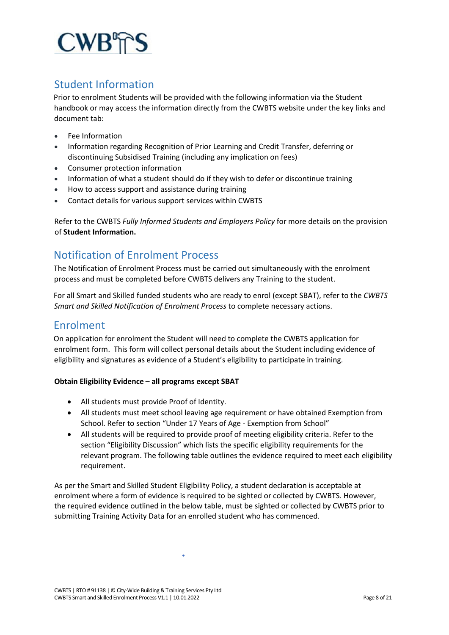

# Student Information

Prior to enrolment Students will be provided with the following information via the Student handbook or may access the information directly from the CWBTS website under the key links and document tab:

- Fee Information
- Information regarding Recognition of Prior Learning and Credit Transfer, deferring or discontinuing Subsidised Training (including any implication on fees)
- Consumer protection information
- Information of what a student should do if they wish to defer or discontinue training
- How to access support and assistance during training
- Contact details for various support services within CWBTS

Refer to the CWBTS *Fully Informed Students and Employers Policy* for more details on the provision of **Student Information.**

# Notification of Enrolment Process

The Notification of Enrolment Process must be carried out simultaneously with the enrolment process and must be completed before CWBTS delivers any Training to the student.

For all Smart and Skilled funded students who are ready to enrol (except SBAT), refer to the *CWBTS Smart and Skilled Notification of Enrolment Process* to complete necessary actions.

# Enrolment

On application for enrolment the Student will need to complete the CWBTS application for enrolment form. This form will collect personal details about the Student including evidence of eligibility and signatures as evidence of a Student's eligibility to participate in training.

# **Obtain Eligibility Evidence – all programs except SBAT**

- All students must provide Proof of Identity.
- All students must meet school leaving age requirement or have obtained Exemption from School. Refer to section "Under 17 Years of Age - Exemption from School"
- All students will be required to provide proof of meeting eligibility criteria. Refer to the section "Eligibility Discussion" which lists the specific eligibility requirements for the relevant program. The following table outlines the evidence required to meet each eligibility requirement.

As per the Smart and Skilled Student Eligibility Policy, a student declaration is acceptable at enrolment where a form of evidence is required to be sighted or collected by CWBTS. However, the required evidence outlined in the below table, must be sighted or collected by CWBTS prior to submitting Training Activity Data for an enrolled student who has commenced.

 $\bullet$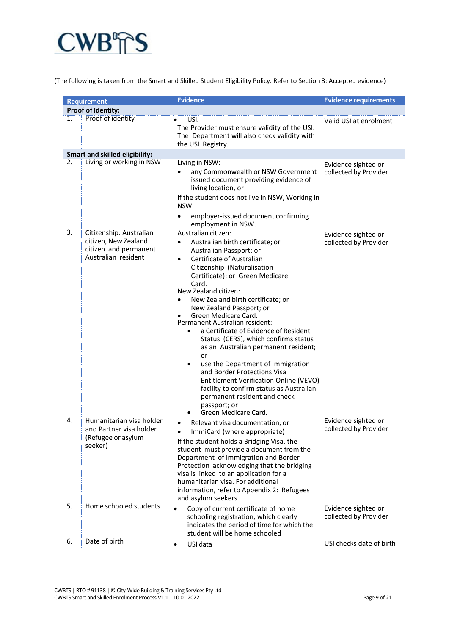

(The following is taken from the Smart and Skilled Student Eligibility Policy. Refer to Section 3: Accepted evidence)

|    | <b>Requirement</b>                                                                              | <b>Evidence</b>                                                                                                                                                                                                                                                                                                                                                                                                                                                                                                                                                                                                                                                                                                                                       | <b>Evidence requirements</b>                 |  |
|----|-------------------------------------------------------------------------------------------------|-------------------------------------------------------------------------------------------------------------------------------------------------------------------------------------------------------------------------------------------------------------------------------------------------------------------------------------------------------------------------------------------------------------------------------------------------------------------------------------------------------------------------------------------------------------------------------------------------------------------------------------------------------------------------------------------------------------------------------------------------------|----------------------------------------------|--|
|    | Proof of Identity:                                                                              |                                                                                                                                                                                                                                                                                                                                                                                                                                                                                                                                                                                                                                                                                                                                                       |                                              |  |
| 1. | Proof of identity                                                                               | USI.<br>The Provider must ensure validity of the USI.<br>The Department will also check validity with<br>the USI Registry.                                                                                                                                                                                                                                                                                                                                                                                                                                                                                                                                                                                                                            | Valid USI at enrolment                       |  |
|    | <b>Smart and skilled eligibility:</b>                                                           |                                                                                                                                                                                                                                                                                                                                                                                                                                                                                                                                                                                                                                                                                                                                                       |                                              |  |
| 2. | Living or working in NSW                                                                        | Living in NSW:<br>any Commonwealth or NSW Government<br>issued document providing evidence of<br>living location, or<br>If the student does not live in NSW, Working in<br>NSW:<br>employer-issued document confirming<br>employment in NSW.                                                                                                                                                                                                                                                                                                                                                                                                                                                                                                          | Evidence sighted or<br>collected by Provider |  |
| 3. | Citizenship: Australian<br>citizen, New Zealand<br>citizen and permanent<br>Australian resident | Australian citizen:<br>Australian birth certificate; or<br>Australian Passport; or<br>Certificate of Australian<br>$\bullet$<br>Citizenship (Naturalisation<br>Certificate); or Green Medicare<br>Card.<br>New Zealand citizen:<br>New Zealand birth certificate; or<br>New Zealand Passport; or<br>Green Medicare Card.<br>Permanent Australian resident:<br>a Certificate of Evidence of Resident<br>$\bullet$<br>Status (CERS), which confirms status<br>as an Australian permanent resident;<br>or<br>use the Department of Immigration<br>$\bullet$<br>and Border Protections Visa<br>Entitlement Verification Online (VEVO)<br>facility to confirm status as Australian<br>permanent resident and check<br>passport; or<br>Green Medicare Card. | Evidence sighted or<br>collected by Provider |  |
| 4. | Humanitarian visa holder<br>and Partner visa holder<br>(Refugee or asylum<br>seeker)            | Relevant visa documentation; or<br>$\bullet$<br>ImmiCard (where appropriate)<br>If the student holds a Bridging Visa, the<br>student must provide a document from the<br>Department of Immigration and Border<br>Protection acknowledging that the bridging<br>visa is linked to an application for a<br>humanitarian visa. For additional<br>information, refer to Appendix 2: Refugees<br>and asylum seekers.                                                                                                                                                                                                                                                                                                                                       | Evidence sighted or<br>collected by Provider |  |
| 5. | Home schooled students                                                                          | ۰<br>Copy of current certificate of home<br>schooling registration, which clearly<br>indicates the period of time for which the<br>student will be home schooled                                                                                                                                                                                                                                                                                                                                                                                                                                                                                                                                                                                      | Evidence sighted or<br>collected by Provider |  |
| 6. | Date of birth                                                                                   | USI data<br>$\bullet$                                                                                                                                                                                                                                                                                                                                                                                                                                                                                                                                                                                                                                                                                                                                 | USI checks date of birth                     |  |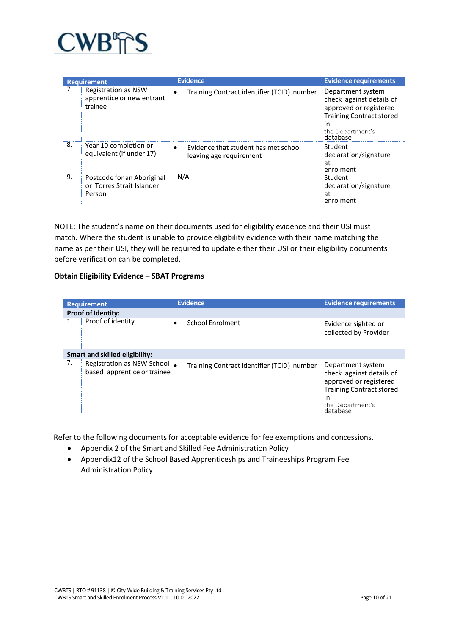

|    | <b>Requirement</b>                                                | <b>Evidence</b>                                                 | <b>Evidence requirements</b>                                                                                                                     |
|----|-------------------------------------------------------------------|-----------------------------------------------------------------|--------------------------------------------------------------------------------------------------------------------------------------------------|
|    | Registration as NSW<br>apprentice or new entrant<br>trainee       | Training Contract identifier (TCID) number                      | Department system<br>check against details of<br>approved or registered<br><b>Training Contract stored</b><br>in<br>the Department's<br>database |
| 8. | Year 10 completion or<br>equivalent (if under 17)                 | Evidence that student has met school<br>leaving age requirement | Student<br>declaration/signature<br>at<br>enrolment                                                                                              |
| 9. | Postcode for an Aboriginal<br>or Torres Strait Islander<br>Person | N/A                                                             | Student<br>declaration/signature<br>at<br>enrolment                                                                                              |

NOTE: The student's name on their documents used for eligibility evidence and their USI must match. Where the student is unable to provide eligibility evidence with their name matching the name as per their USI, they will be required to update either their USI or their eligibility documents before verification can be completed.

# **Obtain Eligibility Evidence – SBAT Programs**

|    | <b>Requirement</b>                                        | <b>Evidence</b>                            | <b>Evidence requirements</b>                                                                                                         |
|----|-----------------------------------------------------------|--------------------------------------------|--------------------------------------------------------------------------------------------------------------------------------------|
|    | <b>Proof of Identity:</b>                                 |                                            |                                                                                                                                      |
|    | Proof of identity                                         | <b>School Enrolment</b>                    | Evidence sighted or<br>collected by Provider                                                                                         |
|    | <b>Smart and skilled eligibility:</b>                     |                                            |                                                                                                                                      |
| 7. | Registration as NSW School<br>based apprentice or trainee | Training Contract identifier (TCID) number | Department system<br>check against details of<br>approved or registered<br><b>Training Contract stored</b><br>in<br>the Department's |

Refer to the following documents for acceptable evidence for fee exemptions and concessions.

- Appendix 2 of the Smart and Skilled Fee Administration Policy
- Appendix12 of the School Based Apprenticeships and Traineeships Program Fee Administration Policy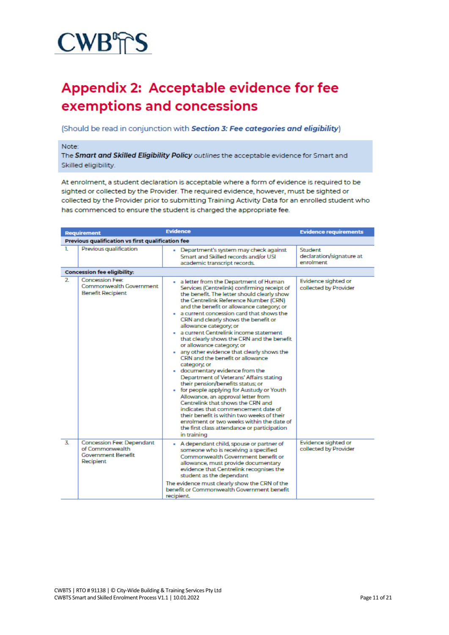# **CWB<sup></sup>TS**

# **Appendix 2: Acceptable evidence for fee** exemptions and concessions

(Should be read in conjunction with Section 3: Fee categories and eligibility)

#### Note:

The Smart and Skilled Eligibility Policy outlines the acceptable evidence for Smart and Skilled eligibility.

At enrolment, a student declaration is acceptable where a form of evidence is required to be sighted or collected by the Provider. The required evidence, however, must be sighted or collected by the Provider prior to submitting Training Activity Data for an enrolled student who has commenced to ensure the student is charged the appropriate fee.

|                | <b>Requirement</b>                                                                            | <b>Evidence</b>                                                                                                                                                                                                                                                                                                                                                                                                                                                                                                                                                                                                                                                                                                                                                                                                                                                                                                                                                                                                         | <b>Evidence requirements</b>                     |  |
|----------------|-----------------------------------------------------------------------------------------------|-------------------------------------------------------------------------------------------------------------------------------------------------------------------------------------------------------------------------------------------------------------------------------------------------------------------------------------------------------------------------------------------------------------------------------------------------------------------------------------------------------------------------------------------------------------------------------------------------------------------------------------------------------------------------------------------------------------------------------------------------------------------------------------------------------------------------------------------------------------------------------------------------------------------------------------------------------------------------------------------------------------------------|--------------------------------------------------|--|
|                | Previous qualification vs first qualification fee                                             |                                                                                                                                                                                                                                                                                                                                                                                                                                                                                                                                                                                                                                                                                                                                                                                                                                                                                                                                                                                                                         |                                                  |  |
| 1.             | Previous qualification                                                                        | - Department's system may check against<br>Smart and Skilled records and/or USI<br>academic transcript records.                                                                                                                                                                                                                                                                                                                                                                                                                                                                                                                                                                                                                                                                                                                                                                                                                                                                                                         | Student<br>declaration/signature at<br>enrolment |  |
|                | <b>Concession fee eligibility:</b>                                                            |                                                                                                                                                                                                                                                                                                                                                                                                                                                                                                                                                                                                                                                                                                                                                                                                                                                                                                                                                                                                                         |                                                  |  |
| $\overline{2}$ | <b>Concession Fee:</b><br>Commonwealth Government<br><b>Benefit Recipient</b>                 | - a letter from the Department of Human<br>Services (Centrelink) confirming receipt of<br>the benefit. The letter should clearly show<br>the Centrelink Reference Number (CRN)<br>and the benefit or allowance category; or<br>a current concession card that shows the<br>CRN and clearly shows the benefit or<br>allowance category; or<br>· a current Centrelink income statement<br>that clearly shows the CRN and the benefit<br>or allowance category, or<br>any other evidence that clearly shows the<br>CRN and the benefit or allowance<br>category, or<br>documentary evidence from the<br>$\bullet$<br>Department of Veterans' Affairs stating<br>their pension/benefits status; or<br>• for people applying for Austudy or Youth<br>Allowance, an approval letter from<br>Centrelink that shows the CRN and<br>indicates that commencement date of<br>their benefit is within two weeks of their<br>enrolment or two weeks within the date of<br>the first class attendance or participation<br>in training | Evidence sighted or<br>collected by Provider     |  |
| $\mathbf{Z}$   | <b>Concession Fee: Dependant</b><br>of Commonwealth<br><b>Government Benefit</b><br>Recipient | A dependant child, spouse or partner of<br>٠<br>someone who is receiving a specified<br>Commonwealth Government benefit or<br>allowance, must provide documentary<br>evidence that Centrelink recognises the<br>student as the dependant<br>The evidence must clearly show the CRN of the<br>benefit or Commonwealth Government benefit<br>recipient.                                                                                                                                                                                                                                                                                                                                                                                                                                                                                                                                                                                                                                                                   | Evidence sighted or<br>collected by Provider     |  |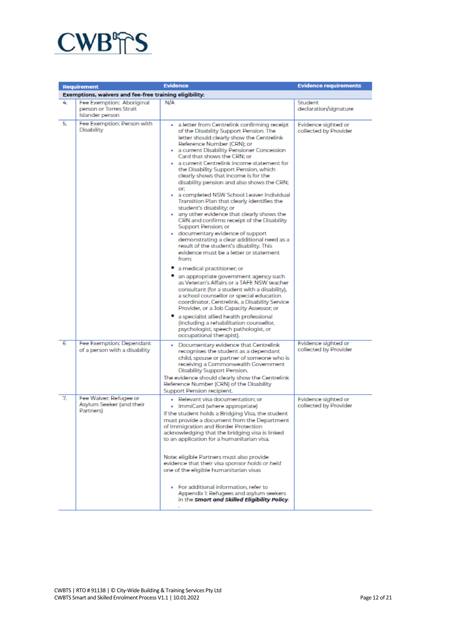

|    | <b>Requirement</b>                                                      | <b>Evidence</b>                                                                                                                                                                                                                                                                                                                                                                                                                                                                                                                                                                                                                                                                                                                                                                                                                                                                                                                                                                                                                                                                                                                                                                                                                                                                                                                                | <b>Evidence requirements</b>                 |
|----|-------------------------------------------------------------------------|------------------------------------------------------------------------------------------------------------------------------------------------------------------------------------------------------------------------------------------------------------------------------------------------------------------------------------------------------------------------------------------------------------------------------------------------------------------------------------------------------------------------------------------------------------------------------------------------------------------------------------------------------------------------------------------------------------------------------------------------------------------------------------------------------------------------------------------------------------------------------------------------------------------------------------------------------------------------------------------------------------------------------------------------------------------------------------------------------------------------------------------------------------------------------------------------------------------------------------------------------------------------------------------------------------------------------------------------|----------------------------------------------|
|    | Exemptions, waivers and fee-free training eligibility:                  |                                                                                                                                                                                                                                                                                                                                                                                                                                                                                                                                                                                                                                                                                                                                                                                                                                                                                                                                                                                                                                                                                                                                                                                                                                                                                                                                                |                                              |
| 4. | Fee Exemption: Aboriginal<br>person or Torres Strait<br>Islander person | N/A                                                                                                                                                                                                                                                                                                                                                                                                                                                                                                                                                                                                                                                                                                                                                                                                                                                                                                                                                                                                                                                                                                                                                                                                                                                                                                                                            | Student<br>declaration/signature             |
| 5. | Fee Exemption: Person with<br>Disability                                | · a letter from Centrelink confirming receipt<br>of the Disability Support Pension. The<br>letter should clearly show the Centrelink<br>Reference Number (CRN); or<br>· a current Disability Pensioner Concession<br>Card that shows the CRN; or<br>· a current Centrelink income statement for<br>the Disability Support Pension, which<br>clearly shows that income is for the<br>disability pension and also shows the CRN;<br>OF:<br>. a completed NSW School Leaver Individual<br>Transition Plan that clearly identifies the<br>student's disability; or<br>. any other evidence that clearly shows the<br>CRN and confirms receipt of the Disability<br>Support Pension; or<br>· documentary evidence of support<br>demonstrating a clear additional need as a<br>result of the student's disability. This<br>evidence must be a letter or statement.<br>from:<br>a medical practitioner; or<br>an appropriate government agency such<br>as Veteran's Affairs or a TAFE NSW teacher<br>consultant (for a student with a disability),<br>a school counsellor or special education<br>coordinator, Centrelink, a Disability Service<br>Provider, or a Job Capacity Assessor; or<br>a specialist allied health professional<br>(including a rehabilitation counsellor,<br>psychologist, speech pathologist, or<br>occupational therapist). | Evidence sighted or<br>collected by Provider |
| 6  | Fee Exemption: Dependant<br>of a person with a disability               | . Documentary evidence that Centrelink<br>recognises the student as a dependant<br>child, spouse or partner of someone who is<br>receiving a Commonwealth Government<br>Disability Support Pension.<br>The evidence should clearly show the Centrelink<br>Reference Number (CRN) of the Disability<br>Support Pension recipient.                                                                                                                                                                                                                                                                                                                                                                                                                                                                                                                                                                                                                                                                                                                                                                                                                                                                                                                                                                                                               | Evidence sighted or<br>collected by Provider |
| 7. | Fee Waiver: Refugee or<br>Asylum Seeker (and their<br>Partners)         | · Relevant visa documentation; or<br>• ImmiCard (where appropriate)<br>If the student holds a Bridging Visa, the student<br>must provide a document from the Department.<br>of Immigration and Border Protection<br>acknowledging that the bridging visa is linked<br>to an application for a humanitarian visa.<br>Note: eligible Partners must also provide<br>evidence that their visa sponsor holds or held<br>one of the eligible humanitarian visas<br>. For additional information, refer to<br>Appendix 1: Refugees and asylum seekers  <br>in the <b>Smart and Skilled Eligibility Policy</b> .                                                                                                                                                                                                                                                                                                                                                                                                                                                                                                                                                                                                                                                                                                                                       | Evidence sighted or<br>collected by Provider |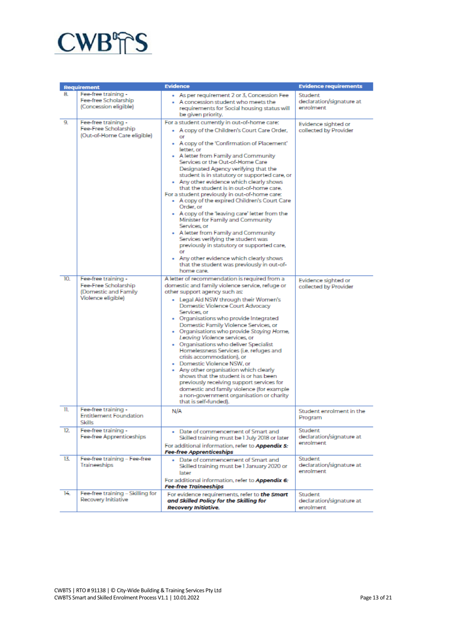

|          | <b>Requirement</b>                                                                          | <b>Evidence</b>                                                                                                                                                                                                                                                                                                                                                                                                                                                                                                                                                                                                                                                                                                                                                                                                                              | <b>Evidence requirements</b>                     |
|----------|---------------------------------------------------------------------------------------------|----------------------------------------------------------------------------------------------------------------------------------------------------------------------------------------------------------------------------------------------------------------------------------------------------------------------------------------------------------------------------------------------------------------------------------------------------------------------------------------------------------------------------------------------------------------------------------------------------------------------------------------------------------------------------------------------------------------------------------------------------------------------------------------------------------------------------------------------|--------------------------------------------------|
| 8.<br>9. | Fee-free training -<br>Fee-free Scholarship<br>(Concession eligible)<br>Fee-free training - | • As per requirement 2 or 3, Concession Fee<br>- A concession student who meets the<br>requirements for Social housing status will<br>be given priority.<br>For a student currently in out-of-home care:                                                                                                                                                                                                                                                                                                                                                                                                                                                                                                                                                                                                                                     | Student<br>declaration/signature at<br>enrolment |
|          | Fee-Free Scholarship<br>(Out-of-Home Care eligible)                                         | - A copy of the Children's Court Care Order,<br>or<br>• A copy of the 'Confirmation of Placement'<br>letter, or<br>• A letter from Family and Community<br>Services or the Out-of-Home Care<br>Designated Agency verifying that the<br>student is in statutory or supported care, or<br>- Any other evidence which clearly shows<br>that the student is in out-of-home care.<br>For a student previously in out-of-home care:<br>• A copy of the expired Children's Court Care<br>Order, or<br>. A copy of the 'leaving care' letter from the<br>Minister for Family and Community<br>Services, or<br>. A letter from Family and Community<br>Services verifying the student was<br>previously in statutory or supported care,<br>or<br>. Any other evidence which clearly shows<br>that the student was previously in out-of-<br>home care. | Evidence sighted or<br>collected by Provider     |
| 10.      | Fee-free training -<br>Fee-Free Scholarship<br>(Domestic and Family<br>Violence eligible)   | A letter of recommendation is required from a<br>domestic and family violence service, refuge or<br>other support agency such as:<br>• Legal Aid NSW through their Women's<br>Domestic Violence Court Advocacy<br>Services, or<br>. Organisations who provide Integrated<br>Domestic Family Violence Services, or<br>• Organisations who provide Staying Home,<br>Leaving Violence services, or<br>• Organisations who deliver Specialist<br>Homelessness Services (i.e. refuges and<br>crisis accommodation), or<br>· Domestic Violence NSW, or<br>• Any other organisation which clearly<br>shows that the student is or has been<br>previously receiving support services for<br>domestic and family violence (for example<br>a non-government organisation or charity<br>that is self-funded).                                           | Evidence sighted or<br>collected by Provider     |
| 11.      | Fee-free training -<br><b>Entitlement Foundation</b><br><b>Skills</b>                       | N/A                                                                                                                                                                                                                                                                                                                                                                                                                                                                                                                                                                                                                                                                                                                                                                                                                                          | Student enrolment in the<br>Program              |
| 12.      | Fee-free training -<br>Fee-free Apprenticeships                                             | . Date of commencement of Smart and<br>Skilled training must be I July 2018 or later<br>For additional information, refer to Appendix 5:<br><b>Fee-free Apprenticeships</b>                                                                                                                                                                                                                                                                                                                                                                                                                                                                                                                                                                                                                                                                  | Student<br>declaration/signature at<br>enrolment |
| 13.      | Fee-free training - Fee-free<br>Traineeships                                                | . Date of commencement of Smart and<br>Skilled training must be 1 January 2020 or<br>later<br>For additional information, refer to Appendix 6:<br><b>Fee-free Traineeships</b>                                                                                                                                                                                                                                                                                                                                                                                                                                                                                                                                                                                                                                                               | Student<br>declaration/signature at<br>enrolment |
| 14.      | Fee-free training - Skilling for<br>Recovery Initiative                                     | For evidence requirements, refer to the Smart<br>and Skilled Policy for the Skilling for<br>Recovery Initiative.                                                                                                                                                                                                                                                                                                                                                                                                                                                                                                                                                                                                                                                                                                                             | Student<br>declaration/signature at<br>enrolment |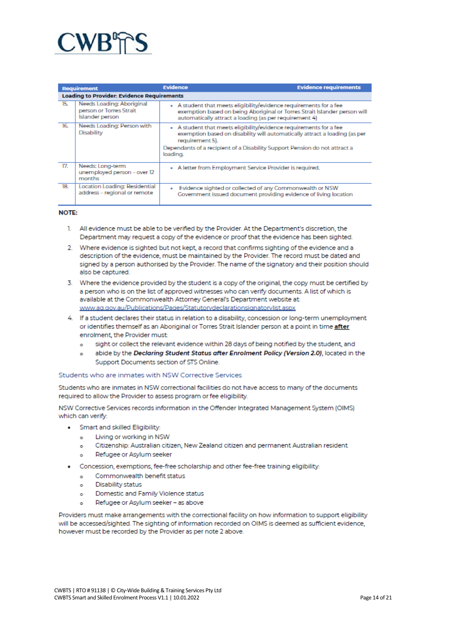

|                 | <b>Requirement</b>                                                      | <b>Evidence</b>                                                                                                                                                                                                                                               | <b>Evidence requirements</b> |
|-----------------|-------------------------------------------------------------------------|---------------------------------------------------------------------------------------------------------------------------------------------------------------------------------------------------------------------------------------------------------------|------------------------------|
|                 | <b>Loading to Provider: Evidence Requirements</b>                       |                                                                                                                                                                                                                                                               |                              |
| 15.             | Needs Loading: Aboriginal<br>person or Torres Strait<br>Islander person | A student that meets eligibility/evidence requirements for a fee<br>exemption based on being Aboriginal or Torres Strait Islander person will<br>automatically attract a loading (as per requirement 4)                                                       |                              |
| $\overline{16}$ | Needs Loading: Person with<br><b>Disability</b>                         | . A student that meets eligibility/evidence requirements for a fee<br>exemption based on disability will automatically attract a loading (as per<br>requirement 5).<br>Dependants of a recipient of a Disability Support Pension do not attract a<br>loading. |                              |
| 17.             | Needs: Long-term<br>unemployed person - over 12<br>months               | • A letter from Employment Service Provider is required.                                                                                                                                                                                                      |                              |
| 18.             | Location Loading: Residential<br>address - regional or remote           | Evidence sighted or collected of any Commonwealth or NSW<br>Government issued document providing evidence of living location                                                                                                                                  |                              |

#### NOTE:

- $\mathbf{1}$ All evidence must be able to be verified by the Provider. At the Department's discretion, the Department may request a copy of the evidence or proof that the evidence has been sighted.
- 2. Where evidence is sighted but not kept, a record that confirms sighting of the evidence and a description of the evidence, must be maintained by the Provider. The record must be dated and signed by a person authorised by the Provider. The name of the signatory and their position should also be captured.
- 3. Where the evidence provided by the student is a copy of the original, the copy must be certified by a person who is on the list of approved witnesses who can verify documents. A list of which is available at the Commonwealth Attorney General's Department website at: www.ag.gov.au/Publications/Pages/Statutorydeclarationsignatorylist.aspx
- 4. If a student declares their status in relation to a disability, concession or long-term unemployment or identifies themself as an Aboriginal or Torres Strait Islander person at a point in time after enrolment, the Provider must:
	- sight or collect the relevant evidence within 28 days of being notified by the student, and  $\sim$
	- abide by the Declaring Student Status after Enrolment Policy (Version 2.0), located in the  $\circ$ Support Documents section of STS Online.

#### Students who are inmates with NSW Corrective Services

Students who are inmates in NSW correctional facilities do not have access to many of the documents required to allow the Provider to assess program or fee eligibility.

NSW Corrective Services records information in the Offender Integrated Management System (OIMS) which can verify:

- Smart and skilled Eligibility:
	- Living or working in NSW  $\bullet$
	- Citizenship: Australian citizen, New Zealand citizen and permanent Australian resident  $\bullet$
	- Refugee or Asylum seeker
- Concession, exemptions, fee-free scholarship and other fee-free training eligibility:
	- Commonwealth benefit status  $\sim$
	- **Disability status**  $\sim$
	- Domestic and Family Violence status  $\sim$
	- Refugee or Asylum seeker as above

Providers must make arrangements with the correctional facility on how information to support eligibility will be accessed/sighted. The sighting of information recorded on OIMS is deemed as sufficient evidence, however must be recorded by the Provider as per note 2 above.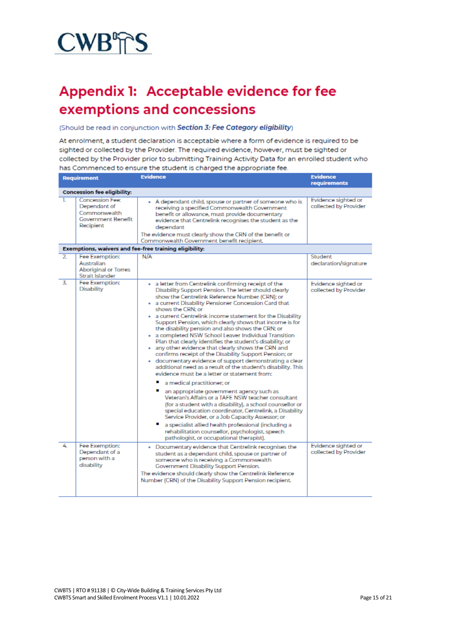

# Appendix 1: Acceptable evidence for fee exemptions and concessions

#### (Should be read in conjunction with Section 3: Fee Category eligibility)

At enrolment, a student declaration is acceptable where a form of evidence is required to be sighted or collected by the Provider. The required evidence, however, must be sighted or collected by the Provider prior to submitting Training Activity Data for an enrolled student who has Commenced to ensure the student is charged the appropriate fee.

| <b>Requirement</b> |                                                                                                  | <b>Evidence</b>                                                                                                                                                                                                                                                                                                                                                                                                                                                                                                                                                                                                                                                                                                                                                                                                                                                                                                                                                                                                                                                                                                                                                                                                                                                                                                   | <b>Evidence</b><br>requirements              |
|--------------------|--------------------------------------------------------------------------------------------------|-------------------------------------------------------------------------------------------------------------------------------------------------------------------------------------------------------------------------------------------------------------------------------------------------------------------------------------------------------------------------------------------------------------------------------------------------------------------------------------------------------------------------------------------------------------------------------------------------------------------------------------------------------------------------------------------------------------------------------------------------------------------------------------------------------------------------------------------------------------------------------------------------------------------------------------------------------------------------------------------------------------------------------------------------------------------------------------------------------------------------------------------------------------------------------------------------------------------------------------------------------------------------------------------------------------------|----------------------------------------------|
|                    | <b>Concession fee eligibility:</b>                                                               |                                                                                                                                                                                                                                                                                                                                                                                                                                                                                                                                                                                                                                                                                                                                                                                                                                                                                                                                                                                                                                                                                                                                                                                                                                                                                                                   |                                              |
| ı.                 | <b>Concession Fee:</b><br>Dependant of<br>Commonwealth<br><b>Government Benefit</b><br>Recipient | A dependant child, spouse or partner of someone who is<br>٠<br>receiving a specified Commonwealth Government<br>benefit or allowance, must provide documentary<br>evidence that Centrelink recognises the student as the<br>dependant<br>The evidence must clearly show the CRN of the benefit or<br>Commonwealth Government benefit recipient.                                                                                                                                                                                                                                                                                                                                                                                                                                                                                                                                                                                                                                                                                                                                                                                                                                                                                                                                                                   | Evidence sighted or<br>collected by Provider |
|                    |                                                                                                  | Exemptions, waivers and fee-free training eligibility:                                                                                                                                                                                                                                                                                                                                                                                                                                                                                                                                                                                                                                                                                                                                                                                                                                                                                                                                                                                                                                                                                                                                                                                                                                                            |                                              |
| $\overline{2}$     | Fee Exemption:<br>Australian<br><b>Aboriginal or Torres</b><br>Strait Islander                   | N/A                                                                                                                                                                                                                                                                                                                                                                                                                                                                                                                                                                                                                                                                                                                                                                                                                                                                                                                                                                                                                                                                                                                                                                                                                                                                                                               | Student<br>declaration/signature             |
| 3.                 | Fee Exemption:<br><b>Disability</b>                                                              | . a letter from Centrelink confirming receipt of the<br>Disability Support Pension. The letter should clearly<br>show the Centrelink Reference Number (CRN); or<br>. a current Disability Pensioner Concession Card that<br>shows the CRN; or<br>. a current Centrelink income statement for the Disability<br>Support Pension, which clearly shows that income is for<br>the disability pension and also shows the CRN; or<br>. a completed NSW School Leaver Individual Transition<br>Plan that clearly identifies the student's disability; or<br>. any other evidence that clearly shows the CRN and<br>confirms receipt of the Disability Support Pension; or<br>· documentary evidence of support demonstrating a clear<br>additional need as a result of the student's disability. This<br>evidence must be a letter or statement from:<br>a medical practitioner; or<br>an appropriate government agency such as<br>Veteran's Affairs or a TAFE NSW teacher consultant<br>(for a student with a disability), a school counsellor or<br>special education coordinator, Centrelink, a Disability<br>Service Provider, or a Job Capacity Assessor; or<br>a specialist allied health professional (including a<br>rehabilitation counsellor, psychologist, speech<br>pathologist, or occupational therapist). | Evidence sighted or<br>collected by Provider |
| 4                  | Fee Exemption:<br>Dependant of a<br>person with a<br>disability                                  | . Documentary evidence that Centrelink recognises the<br>student as a dependant child, spouse or partner of<br>someone who is receiving a Commonwealth<br>Government Disability Support Pension.<br>The evidence should clearly show the Centrelink Reference<br>Number (CRN) of the Disability Support Pension recipient.                                                                                                                                                                                                                                                                                                                                                                                                                                                                                                                                                                                                                                                                                                                                                                                                                                                                                                                                                                                        | Evidence sighted or<br>collected by Provider |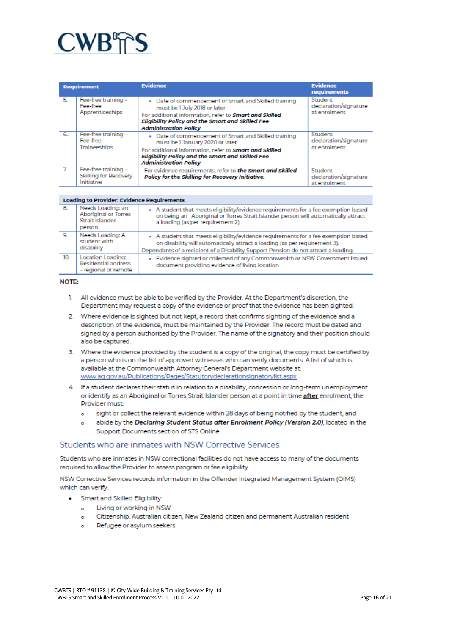

| <b>Requirement</b> |                                                            | <b>Evidence</b>                                                                                                                                                                                                                              | <b>Evidence</b><br><b>requirements</b>           |
|--------------------|------------------------------------------------------------|----------------------------------------------------------------------------------------------------------------------------------------------------------------------------------------------------------------------------------------------|--------------------------------------------------|
| 5.                 | Fee-free training -<br>Fee-free<br>Apprenticeships         | . Date of commencement of Smart and Skilled training<br>must be 1 July 2018 or later<br>For additional information, refer to <b>Smart and Skilled</b><br>Eligibility Policy and the Smart and Skilled Fee<br><b>Administration Policy</b>    | Student<br>declaration/signature<br>at enrolment |
| 6.                 | Fee-free training -<br>Fee-free<br>Traineeships            | . Date of commencement of Smart and Skilled training<br>must be 1 January 2020 or later<br>For additional information, refer to <b>Smort and Skilled</b><br>Eligibility Policy and the Smart and Skilled Fee<br><b>Administration Policy</b> | Student<br>declaration/signature<br>at enrolment |
| $\mathcal{T}$      | Fee-free training -<br>Skilling for Recovery<br>Initiative | For evidence requirements, refer to the Smart and Skilled<br>Policy for the Skilling for Recovery Initiative.                                                                                                                                | Student<br>declaration/signature<br>at enrolment |

#### Loading to Provider: Evidence Requirements

| -8. | Needs Loading: an<br><b>Aboriginal or Torres</b><br>Strait Islander<br>person | . A student that meets eligibility/evidence requirements for a fee exemption based<br>on being an Aboriginal or Torres Strait Islander person will automatically attract<br>a loading (as per requirement 2)                                            |
|-----|-------------------------------------------------------------------------------|---------------------------------------------------------------------------------------------------------------------------------------------------------------------------------------------------------------------------------------------------------|
| 9.  | Needs Loading: A<br>student with<br>disability                                | - A student that meets eligibility/evidence requirements for a fee exemption based<br>on disability will automatically attract a loading (as per requirement 3).<br>Dependants of a recipient of a Disability Support Pension do not attract a loading. |
| 10. | Location Loading:<br>Residential address<br>- regional or remote              | Evidence sighted or collected of any Commonwealth or NSW Government issued<br>٠<br>document providing evidence of living location                                                                                                                       |

#### **NOTE:**

- 1. All evidence must be able to be verified by the Provider. At the Department's discretion, the Department may request a copy of the evidence or proof that the evidence has been sighted.
- 2. Where evidence is sighted but not kept, a record that confirms sighting of the evidence and a description of the evidence, must be maintained by the Provider. The record must be dated and signed by a person authorised by the Provider. The name of the signatory and their position should also be captured.
- 3. Where the evidence provided by the student is a copy of the original, the copy must be certified by a person who is on the list of approved witnesses who can verify documents. A list of which is available at the Commonwealth Attorney General's Department website at: www.ag.gov.au/Publications/Pages/Statutorydeclarationsignatorylist.aspx
- 4. If a student declares their status in relation to a disability, concession or long-term unemployment or identify as an Aboriginal or Torres Strait Islander person at a point in time after enrolment, the Provider must:
	- sight or collect the relevant evidence within 28 days of being notified by the student, and  $\bullet$
	- abide by the Declaring Student Status after Enrolment Policy (Version 2.0), located in the  $\ddot{\circ}$ Support Documents section of STS Online.

# Students who are inmates with NSW Corrective Services

Students who are inmates in NSW correctional facilities do not have access to many of the documents required to allow the Provider to assess program or fee eligibility.

NSW Corrective Services records information in the Offender Integrated Management System (OIMS) which can verify:

- Smart and Skilled Eligibility:
	- Living or working in NSW  $\bullet$
	- Citizenship: Australian citizen, New Zealand citizen and permanent Australian resident  $\bullet$
	- Refugee or asylum seekers  $\bullet$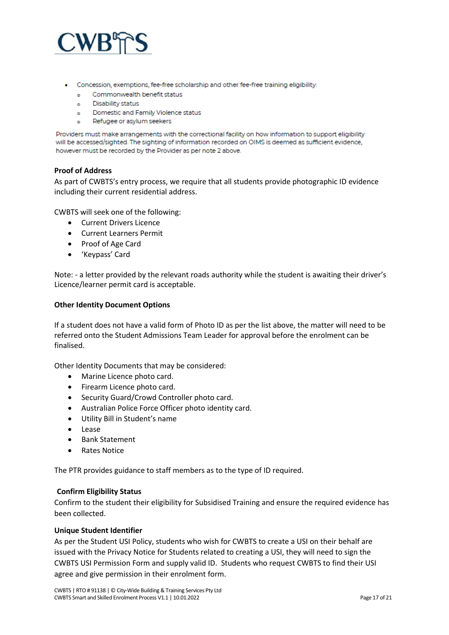

- Concession, exemptions, fee-free scholarship and other fee-free training eligibility:
	- o Commonwealth benefit status
	- o Disability status
	- Domestic and Family Violence status  $\bullet$
	- Refugee or asylum seekers  $\bullet$

Providers must make arrangements with the correctional facility on how information to support eligibility will be accessed/sighted. The sighting of information recorded on OIMS is deemed as sufficient evidence, however must be recorded by the Provider as per note 2 above.

#### **Proof of Address**

As part of CWBTS's entry process, we require that all students provide photographic ID evidence including their current residential address.

CWBTS will seek one of the following:

- Current Drivers Licence
- Current Learners Permit
- Proof of Age Card
- 'Keypass' Card

Note: - a letter provided by the relevant roads authority while the student is awaiting their driver's Licence/learner permit card is acceptable.

#### **Other Identity Document Options**

If a student does not have a valid form of Photo ID as per the list above, the matter will need to be referred onto the Student Admissions Team Leader for approval before the enrolment can be finalised.

Other Identity Documents that may be considered:

- Marine Licence photo card.
- Firearm Licence photo card.
- Security Guard/Crowd Controller photo card.
- Australian Police Force Officer photo identity card.
- Utility Bill in Student's name
- Lease
- Bank Statement
- Rates Notice

The PTR provides guidance to staff members as to the type of ID required.

#### **Confirm Eligibility Status**

Confirm to the student their eligibility for Subsidised Training and ensure the required evidence has been collected.

#### **Unique Student Identifier**

As per the Student USI Policy, students who wish for CWBTS to create a USI on their behalf are issued with the Privacy Notice for Students related to creating a USI, they will need to sign the CWBTS USI Permission Form and supply valid ID. Students who request CWBTS to find their USI agree and give permission in their enrolment form.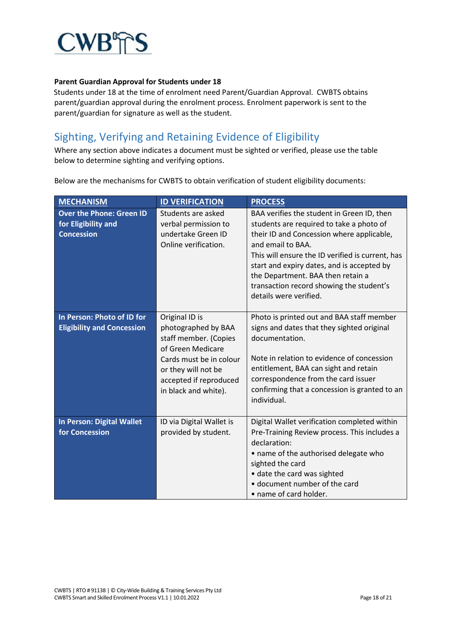

# **Parent Guardian Approval for Students under 18**

Students under 18 at the time of enrolment need Parent/Guardian Approval. CWBTS obtains parent/guardian approval during the enrolment process. Enrolment paperwork is sent to the parent/guardian for signature as well as the student.

# Sighting, Verifying and Retaining Evidence of Eligibility

Where any section above indicates a document must be sighted or verified, please use the table below to determine sighting and verifying options.

Below are the mechanisms for CWBTS to obtain verification of student eligibility documents:

| <b>MECHANISM</b>                                                | <b>ID VERIFICATION</b>                                                                                                                                                                  | <b>PROCESS</b>                                                                                                                                                                                                                                                                                          |
|-----------------------------------------------------------------|-----------------------------------------------------------------------------------------------------------------------------------------------------------------------------------------|---------------------------------------------------------------------------------------------------------------------------------------------------------------------------------------------------------------------------------------------------------------------------------------------------------|
| <b>Over the Phone: Green ID</b><br>for Eligibility and          | Students are asked<br>verbal permission to                                                                                                                                              | BAA verifies the student in Green ID, then<br>students are required to take a photo of                                                                                                                                                                                                                  |
| <b>Concession</b>                                               | undertake Green ID<br>Online verification.                                                                                                                                              | their ID and Concession where applicable,<br>and email to BAA.<br>This will ensure the ID verified is current, has<br>start and expiry dates, and is accepted by<br>the Department. BAA then retain a<br>transaction record showing the student's<br>details were verified.                             |
| In Person: Photo of ID for<br><b>Eligibility and Concession</b> | Original ID is<br>photographed by BAA<br>staff member. (Copies<br>of Green Medicare<br>Cards must be in colour<br>or they will not be<br>accepted if reproduced<br>in black and white). | Photo is printed out and BAA staff member<br>signs and dates that they sighted original<br>documentation.<br>Note in relation to evidence of concession<br>entitlement, BAA can sight and retain<br>correspondence from the card issuer<br>confirming that a concession is granted to an<br>individual. |
| In Person: Digital Wallet<br>for Concession                     | ID via Digital Wallet is<br>provided by student.                                                                                                                                        | Digital Wallet verification completed within<br>Pre-Training Review process. This includes a<br>declaration:<br>• name of the authorised delegate who<br>sighted the card<br>· date the card was sighted<br>• document number of the card<br>• name of card holder.                                     |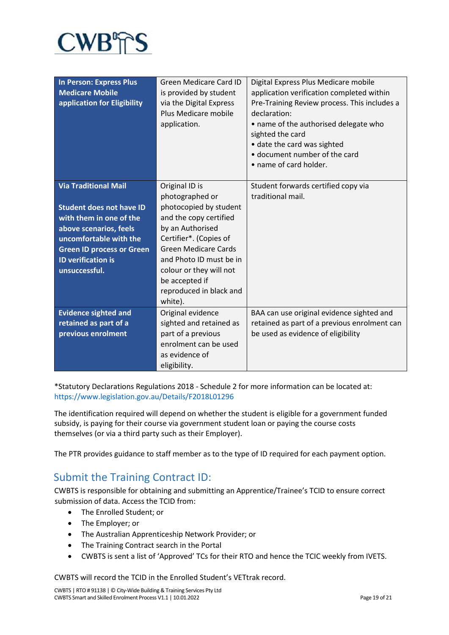

| <b>In Person: Express Plus</b><br><b>Medicare Mobile</b><br>application for Eligibility | <b>Green Medicare Card ID</b><br>is provided by student<br>via the Digital Express<br>Plus Medicare mobile<br>application. | Digital Express Plus Medicare mobile<br>application verification completed within<br>Pre-Training Review process. This includes a<br>declaration:<br>• name of the authorised delegate who<br>sighted the card<br>• date the card was sighted<br>· document number of the card<br>• name of card holder. |
|-----------------------------------------------------------------------------------------|----------------------------------------------------------------------------------------------------------------------------|----------------------------------------------------------------------------------------------------------------------------------------------------------------------------------------------------------------------------------------------------------------------------------------------------------|
| <b>Via Traditional Mail</b>                                                             | Original ID is<br>photographed or                                                                                          | Student forwards certified copy via<br>traditional mail.                                                                                                                                                                                                                                                 |
|                                                                                         |                                                                                                                            |                                                                                                                                                                                                                                                                                                          |
| <b>Student does not have ID</b>                                                         | photocopied by student                                                                                                     |                                                                                                                                                                                                                                                                                                          |
| with them in one of the                                                                 | and the copy certified                                                                                                     |                                                                                                                                                                                                                                                                                                          |
| above scenarios, feels                                                                  | by an Authorised                                                                                                           |                                                                                                                                                                                                                                                                                                          |
| uncomfortable with the                                                                  | Certifier*. (Copies of                                                                                                     |                                                                                                                                                                                                                                                                                                          |
| <b>Green ID process or Green</b>                                                        | <b>Green Medicare Cards</b>                                                                                                |                                                                                                                                                                                                                                                                                                          |
| <b>ID verification is</b>                                                               | and Photo ID must be in                                                                                                    |                                                                                                                                                                                                                                                                                                          |
| unsuccessful.                                                                           | colour or they will not                                                                                                    |                                                                                                                                                                                                                                                                                                          |
|                                                                                         | be accepted if                                                                                                             |                                                                                                                                                                                                                                                                                                          |
|                                                                                         | reproduced in black and                                                                                                    |                                                                                                                                                                                                                                                                                                          |
|                                                                                         | white).                                                                                                                    |                                                                                                                                                                                                                                                                                                          |
| <b>Evidence sighted and</b>                                                             | Original evidence                                                                                                          | BAA can use original evidence sighted and                                                                                                                                                                                                                                                                |
| retained as part of a                                                                   | sighted and retained as                                                                                                    | retained as part of a previous enrolment can                                                                                                                                                                                                                                                             |
| previous enrolment                                                                      | part of a previous                                                                                                         | be used as evidence of eligibility                                                                                                                                                                                                                                                                       |
|                                                                                         | enrolment can be used                                                                                                      |                                                                                                                                                                                                                                                                                                          |
|                                                                                         | as evidence of                                                                                                             |                                                                                                                                                                                                                                                                                                          |
|                                                                                         | eligibility.                                                                                                               |                                                                                                                                                                                                                                                                                                          |

\*Statutory Declarations Regulations 2018 - Schedule 2 for more information can be located at: https://www.legislation.gov.au/Details/F2018L01296

The identification required will depend on whether the student is eligible for a government funded subsidy, is paying for their course via government student loan or paying the course costs themselves (or via a third party such as their Employer).

The PTR provides guidance to staff member as to the type of ID required for each payment option.

# Submit the Training Contract ID:

CWBTS is responsible for obtaining and submitting an Apprentice/Trainee's TCID to ensure correct submission of data. Access the TCID from:

- The Enrolled Student; or
- The Employer; or
- The Australian Apprenticeship Network Provider; or
- The Training Contract search in the Portal
- CWBTS is sent a list of 'Approved' TCs for their RTO and hence the TCIC weekly from IVETS.

CWBTS will record the TCID in the Enrolled Student's VETtrak record.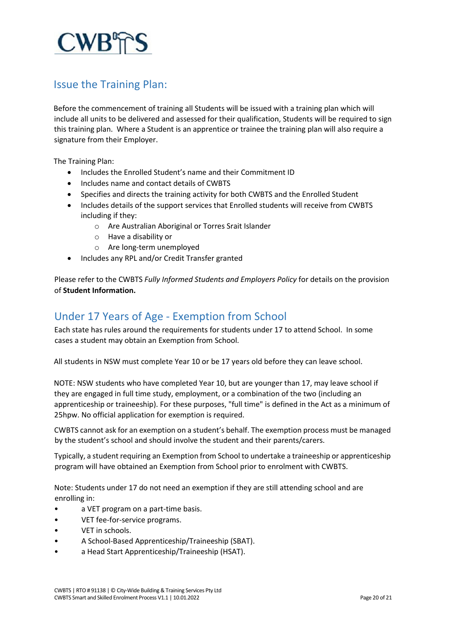

# Issue the Training Plan:

Before the commencement of training all Students will be issued with a training plan which will include all units to be delivered and assessed for their qualification, Students will be required to sign this training plan. Where a Student is an apprentice or trainee the training plan will also require a signature from their Employer.

The Training Plan:

- Includes the Enrolled Student's name and their Commitment ID
- Includes name and contact details of CWBTS
- Specifies and directs the training activity for both CWBTS and the Enrolled Student
- Includes details of the support services that Enrolled students will receive from CWBTS including if they:
	- o Are Australian Aboriginal or Torres Srait Islander
	- o Have a disability or
	- o Are long-term unemployed
- Includes any RPL and/or Credit Transfer granted

Please refer to the CWBTS *Fully Informed Students and Employers Policy* for details on the provision of **Student Information.**

# Under 17 Years of Age - Exemption from School

Each state has rules around the requirements for students under 17 to attend School. In some cases a student may obtain an Exemption from School.

All students in NSW must complete Year 10 or be 17 years old before they can leave school.

NOTE: NSW students who have completed Year 10, but are younger than 17, may leave school if they are engaged in full time study, employment, or a combination of the two (including an apprenticeship or traineeship). For these purposes, "full time" is defined in the Act as a minimum of 25hpw. No official application for exemption is required.

CWBTS cannot ask for an exemption on a student's behalf. The exemption process must be managed by the student's school and should involve the student and their parents/carers.

Typically, a student requiring an Exemption from School to undertake a traineeship or apprenticeship program will have obtained an Exemption from School prior to enrolment with CWBTS.

Note: Students under 17 do not need an exemption if they are still attending school and are enrolling in:

- a VET program on a part-time basis.
- VET fee-for-service programs.
- VET in schools.
- A School-Based Apprenticeship/Traineeship (SBAT).
- a Head Start Apprenticeship/Traineeship (HSAT).